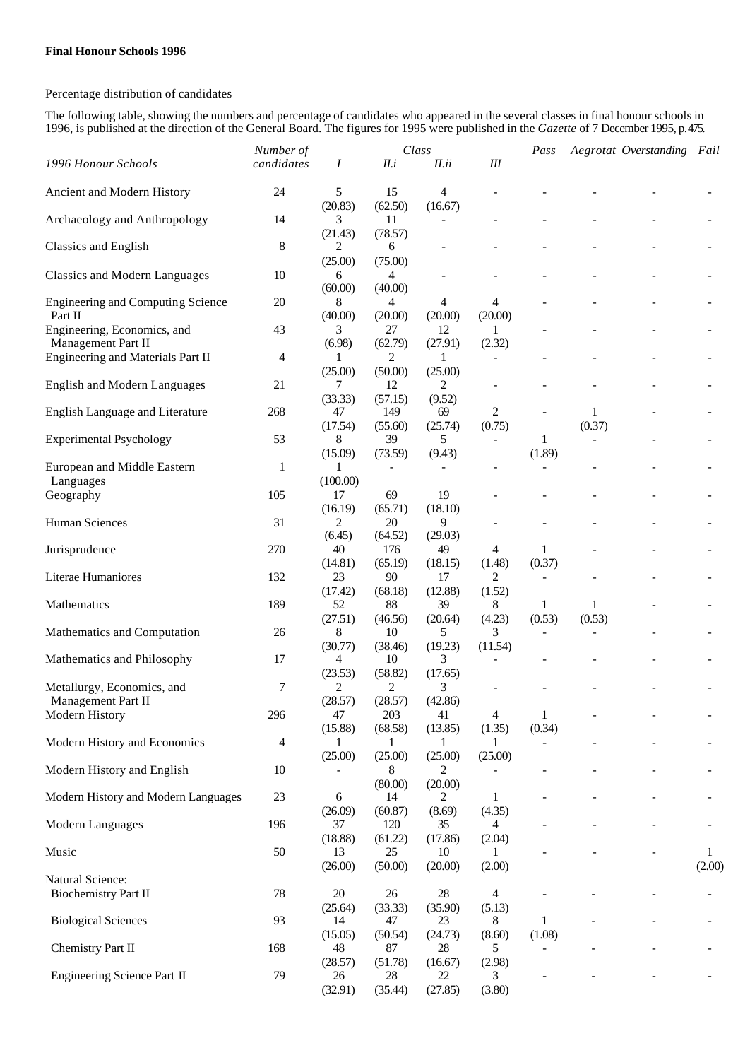## Percentage distribution of candidates

The following table, showing the numbers and percentage of candidates who appeared in the several classes in final honour schools in 1996, is published at the direction of the General Board. The figures for 1995 were published in the *Gazette* of 7 December 1995, p.475.

|                                                  | Number of      |               | Class                    |                |                          | Pass           |        | Aegrotat Overstanding Fail |        |
|--------------------------------------------------|----------------|---------------|--------------------------|----------------|--------------------------|----------------|--------|----------------------------|--------|
| 1996 Honour Schools                              | candidates     | Ι             | II.i                     | II.ii          | Ш                        |                |        |                            |        |
|                                                  |                |               |                          |                |                          |                |        |                            |        |
| Ancient and Modern History                       | 24             | 5             | 15                       | $\overline{4}$ |                          |                |        |                            |        |
| Archaeology and Anthropology                     | 14             | (20.83)<br>3  | (62.50)<br>11            | (16.67)        |                          |                |        |                            |        |
|                                                  |                | (21.43)       | (78.57)                  |                |                          |                |        |                            |        |
| Classics and English                             | $\,8\,$        | 2             | 6                        |                |                          |                |        |                            |        |
|                                                  |                | (25.00)       | (75.00)                  |                |                          |                |        |                            |        |
| <b>Classics and Modern Languages</b>             | 10             | 6             | 4                        |                |                          |                |        |                            |        |
| Engineering and Computing Science                | 20             | (60.00)       | (40.00)                  |                |                          |                |        |                            |        |
| Part II                                          |                | 8<br>(40.00)  | 4<br>(20.00)             | 4<br>(20.00)   | 4<br>(20.00)             |                |        |                            |        |
| Engineering, Economics, and                      | 43             | 3             | 27                       | 12             | 1                        |                |        |                            |        |
| Management Part II                               |                | (6.98)        | (62.79)                  | (27.91)        | (2.32)                   |                |        |                            |        |
| Engineering and Materials Part II                | 4              | $\mathbf{1}$  | 2                        | 1              |                          |                |        |                            |        |
|                                                  |                | (25.00)       | (50.00)                  | (25.00)        |                          |                |        |                            |        |
| <b>English and Modern Languages</b>              | 21             | 7             | 12                       | $\overline{2}$ | $\overline{a}$           |                |        |                            |        |
| English Language and Literature                  | 268            | (33.33)<br>47 | (57.15)<br>149           | (9.52)<br>69   | 2                        |                | 1      |                            |        |
|                                                  |                | (17.54)       | (55.60)                  | (25.74)        | (0.75)                   |                | (0.37) |                            |        |
| <b>Experimental Psychology</b>                   | 53             | 8             | 39                       | 5              | $\overline{\phantom{a}}$ | 1              |        |                            |        |
|                                                  |                | (15.09)       | (73.59)                  | (9.43)         |                          | (1.89)         |        |                            |        |
| European and Middle Eastern                      | $\mathbf{1}$   |               | $\overline{\phantom{a}}$ |                |                          | $\blacksquare$ |        |                            |        |
| Languages                                        |                | (100.00)      |                          |                |                          |                |        |                            |        |
| Geography                                        | 105            | 17            | 69                       | 19             |                          |                |        |                            |        |
|                                                  |                | (16.19)       | (65.71)                  | (18.10)        |                          |                |        |                            |        |
| <b>Human Sciences</b>                            | 31             | 2             | 20                       | 9              |                          |                |        |                            |        |
|                                                  | 270            | (6.45)<br>40  | (64.52)                  | (29.03)        |                          | 1              |        |                            |        |
| Jurisprudence                                    |                | (14.81)       | 176<br>(65.19)           | 49<br>(18.15)  | 4<br>(1.48)              | (0.37)         |        |                            |        |
| Literae Humaniores                               | 132            | 23            | 90                       | 17             | 2                        |                |        |                            |        |
|                                                  |                | (17.42)       | (68.18)                  | (12.88)        | (1.52)                   |                |        |                            |        |
| Mathematics                                      | 189            | 52            | 88                       | 39             | 8                        | 1              | 1      |                            |        |
|                                                  |                | (27.51)       | (46.56)                  | (20.64)        | (4.23)                   | (0.53)         | (0.53) |                            |        |
| Mathematics and Computation                      | 26             | 8             | 10                       | 5              | 3                        |                |        |                            |        |
|                                                  |                | (30.77)       | (38.46)                  | (19.23)        | (11.54)                  |                |        |                            |        |
| Mathematics and Philosophy                       | 17             | 4             | 10                       | 3              |                          |                |        |                            |        |
|                                                  |                | (23.53)<br>2  | (58.82)<br>2             | (17.65)<br>3   |                          |                |        |                            |        |
| Metallurgy, Economics, and<br>Management Part II | 7              | (28.57)       | (28.57)                  | (42.86)        |                          |                |        |                            |        |
| Modern History                                   | 296            | 47            | 203                      | 41             | 4                        | 1              |        |                            |        |
|                                                  |                | (15.88)       | (68.58)                  | (13.85)        | (1.35)                   | (0.34)         |        |                            |        |
| Modern History and Economics                     | $\overline{4}$ | 1             | 1                        | 1              | 1                        |                |        |                            |        |
|                                                  |                | (25.00)       | (25.00)                  | (25.00)        | (25.00)                  |                |        |                            |        |
| Modern History and English                       | 10             |               | 8                        | 2              |                          |                |        |                            |        |
|                                                  |                |               | (80.00)                  | (20.00)        |                          |                |        |                            |        |
| Modern History and Modern Languages              | 23             | 6             | 14                       | 2              | 1                        |                |        |                            |        |
| Modern Languages                                 | 196            | (26.09)<br>37 | (60.87)<br>120           | (8.69)<br>35   | (4.35)<br>4              |                |        |                            |        |
|                                                  |                | (18.88)       | (61.22)                  | (17.86)        | (2.04)                   |                |        |                            |        |
| Music                                            | 50             | 13            | 25                       | 10             |                          |                |        |                            | 1      |
|                                                  |                | (26.00)       | (50.00)                  | (20.00)        | (2.00)                   |                |        |                            | (2.00) |
| Natural Science:                                 |                |               |                          |                |                          |                |        |                            |        |
| <b>Biochemistry Part II</b>                      | 78             | $20\,$        | $26\,$                   | $28\,$         | 4                        |                |        |                            |        |
|                                                  |                | (25.64)       | (33.33)                  | (35.90)        | (5.13)                   |                |        |                            |        |
| <b>Biological Sciences</b>                       | 93             | 14            | 47                       | 23             | 8                        | 1              |        |                            |        |
|                                                  |                | (15.05)       | (50.54)                  | (24.73)        | (8.60)                   | (1.08)         |        |                            |        |
| Chemistry Part II                                | 168            | 48<br>(28.57) | 87<br>(51.78)            | 28<br>(16.67)  | 5<br>(2.98)              |                |        |                            |        |
| Engineering Science Part II                      | 79             | 26            | 28                       | 22             | 3                        |                |        |                            |        |
|                                                  |                | (32.91)       | (35.44)                  | (27.85)        | (3.80)                   |                |        |                            |        |